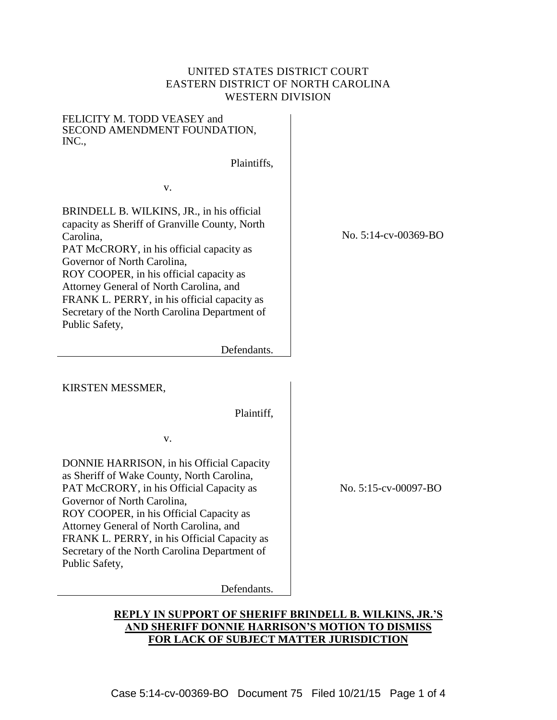## UNITED STATES DISTRICT COURT EASTERN DISTRICT OF NORTH CAROLINA WESTERN DIVISION

### FELICITY M. TODD VEASEY and SECOND AMENDMENT FOUNDATION, INC.,

Plaintiffs,

v.

BRINDELL B. WILKINS, JR., in his official capacity as Sheriff of Granville County, North Carolina, PAT McCRORY, in his official capacity as Governor of North Carolina, ROY COOPER, in his official capacity as Attorney General of North Carolina, and FRANK L. PERRY, in his official capacity as Secretary of the North Carolina Department of Public Safety,

Defendants.

KIRSTEN MESSMER,

Plaintiff,

v.

DONNIE HARRISON, in his Official Capacity as Sheriff of Wake County, North Carolina, PAT McCRORY, in his Official Capacity as Governor of North Carolina, ROY COOPER, in his Official Capacity as Attorney General of North Carolina, and FRANK L. PERRY, in his Official Capacity as Secretary of the North Carolina Department of Public Safety,

Defendants.

# **REPLY IN SUPPORT OF SHERIFF BRINDELL B. WILKINS, JR.'S AND SHERIFF DONNIE HARRISON'S MOTION TO DISMISS FOR LACK OF SUBJECT MATTER JURISDICTION**

No. 5:14-cv-00369-BO

No. 5:15-cv-00097-BO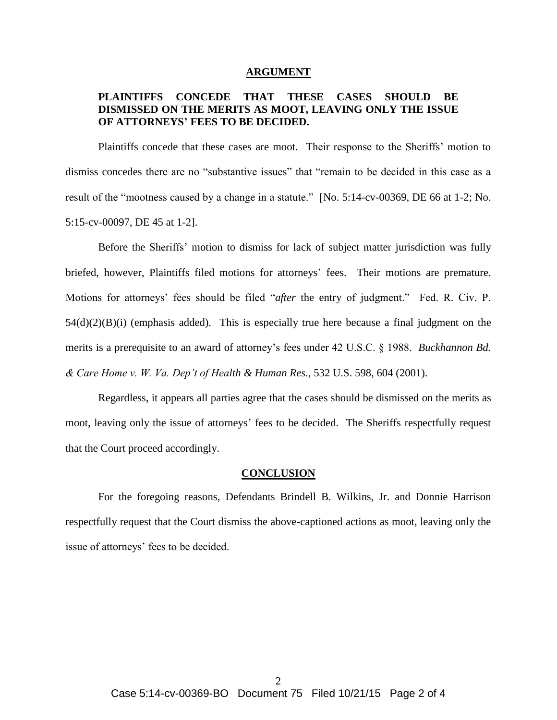#### **ARGUMENT**

### **PLAINTIFFS CONCEDE THAT THESE CASES SHOULD BE DISMISSED ON THE MERITS AS MOOT, LEAVING ONLY THE ISSUE OF ATTORNEYS' FEES TO BE DECIDED.**

Plaintiffs concede that these cases are moot. Their response to the Sheriffs' motion to dismiss concedes there are no "substantive issues" that "remain to be decided in this case as a result of the "mootness caused by a change in a statute." [No. 5:14-cv-00369, DE 66 at 1-2; No. 5:15-cv-00097, DE 45 at 1-2].

Before the Sheriffs' motion to dismiss for lack of subject matter jurisdiction was fully briefed, however, Plaintiffs filed motions for attorneys' fees. Their motions are premature. Motions for attorneys' fees should be filed "*after* the entry of judgment." Fed. R. Civ. P.  $54(d)(2)(B)(i)$  (emphasis added). This is especially true here because a final judgment on the merits is a prerequisite to an award of attorney's fees under 42 U.S.C. § 1988. *Buckhannon Bd. & Care Home v. W. Va. Dep't of Health & Human Res.*, 532 U.S. 598, 604 (2001).

Regardless, it appears all parties agree that the cases should be dismissed on the merits as moot, leaving only the issue of attorneys' fees to be decided. The Sheriffs respectfully request that the Court proceed accordingly.

#### **CONCLUSION**

For the foregoing reasons, Defendants Brindell B. Wilkins, Jr. and Donnie Harrison respectfully request that the Court dismiss the above-captioned actions as moot, leaving only the issue of attorneys' fees to be decided.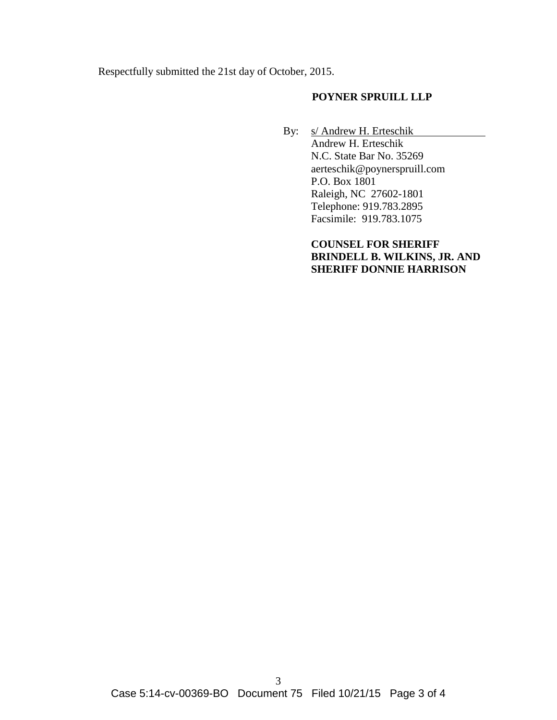Respectfully submitted the 21st day of October, 2015.

### **POYNER SPRUILL LLP**

By: s/ Andrew H. Erteschik Andrew H. Erteschik N.C. State Bar No. 35269 aerteschik@poynerspruill.com P.O. Box 1801 Raleigh, NC 27602-1801 Telephone: 919.783.2895 Facsimile: 919.783.1075

> **COUNSEL FOR SHERIFF BRINDELL B. WILKINS, JR. AND SHERIFF DONNIE HARRISON**